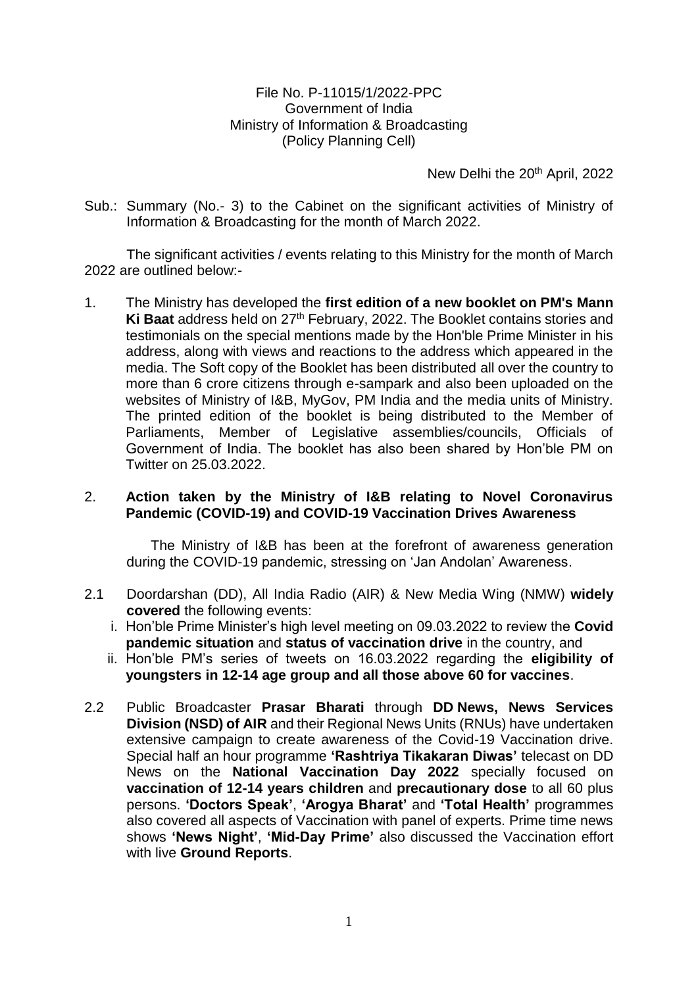#### File No. P-11015/1/2022-PPC Government of India Ministry of Information & Broadcasting (Policy Planning Cell)

New Delhi the 20<sup>th</sup> April, 2022

Sub.: Summary (No.- 3) to the Cabinet on the significant activities of Ministry of Information & Broadcasting for the month of March 2022.

The significant activities / events relating to this Ministry for the month of March 2022 are outlined below:-

1. The Ministry has developed the **first edition of a new booklet on PM's Mann**  Ki Baat address held on 27<sup>th</sup> February, 2022. The Booklet contains stories and testimonials on the special mentions made by the Hon'ble Prime Minister in his address, along with views and reactions to the address which appeared in the media. The Soft copy of the Booklet has been distributed all over the country to more than 6 crore citizens through e-sampark and also been uploaded on the websites of Ministry of I&B, MyGov, PM India and the media units of Ministry. The printed edition of the booklet is being distributed to the Member of Parliaments, Member of Legislative assemblies/councils, Officials of Government of India. The booklet has also been shared by Hon'ble PM on Twitter on 25.03.2022.

#### 2. **Action taken by the Ministry of I&B relating to Novel Coronavirus Pandemic (COVID-19) and COVID-19 Vaccination Drives Awareness**

The Ministry of I&B has been at the forefront of awareness generation during the COVID-19 pandemic, stressing on 'Jan Andolan' Awareness.

- 2.1 Doordarshan (DD), All India Radio (AIR) & New Media Wing (NMW) **widely covered** the following events:
	- i. Hon'ble Prime Minister's high level meeting on 09.03.2022 to review the **Covid pandemic situation** and **status of vaccination drive** in the country, and
	- ii. Hon'ble PM's series of tweets on 16.03.2022 regarding the **eligibility of youngsters in 12-14 age group and all those above 60 for vaccines**.
- 2.2 Public Broadcaster **Prasar Bharati** through **DD News, News Services Division (NSD) of AIR** and their Regional News Units (RNUs) have undertaken extensive campaign to create awareness of the Covid-19 Vaccination drive. Special half an hour programme **'Rashtriya Tikakaran Diwas'** telecast on DD News on the **National Vaccination Day 2022** specially focused on **vaccination of 12-14 years children** and **precautionary dose** to all 60 plus persons. **'Doctors Speak'**, **'Arogya Bharat'** and **'Total Health'** programmes also covered all aspects of Vaccination with panel of experts. Prime time news shows **'News Night'**, **'Mid-Day Prime'** also discussed the Vaccination effort with live **Ground Reports**.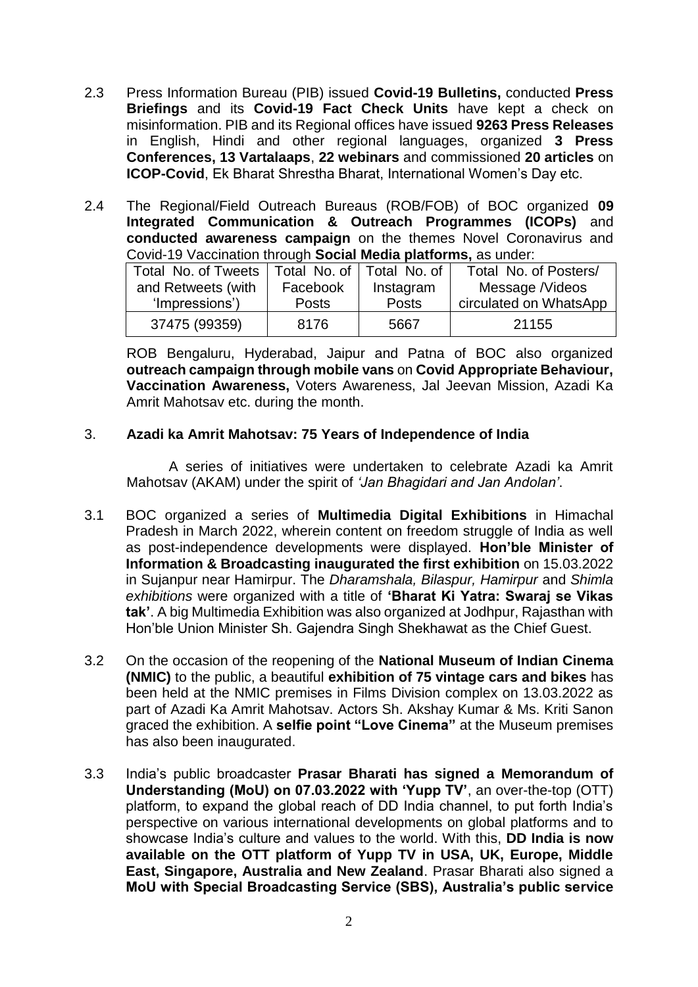- 2.3 Press Information Bureau (PIB) issued **Covid-19 Bulletins,** conducted **Press Briefings** and its **Covid-19 Fact Check Units** have kept a check on misinformation. PIB and its Regional offices have issued **9263 Press Releases** in English, Hindi and other regional languages, organized **3 Press Conferences, 13 Vartalaaps**, **22 webinars** and commissioned **20 articles** on **ICOP-Covid**, Ek Bharat Shrestha Bharat, International Women's Day etc.
- 2.4 The Regional/Field Outreach Bureaus (ROB/FOB) of BOC organized **09 Integrated Communication & Outreach Programmes (ICOPs)** and **conducted awareness campaign** on the themes Novel Coronavirus and Covid-19 Vaccination through **Social Media platforms,** as under:

| Total No. of Tweets | Total No. of Total No. of |           | Total No. of Posters/  |  |
|---------------------|---------------------------|-----------|------------------------|--|
| and Retweets (with  | Facebook                  | Instagram | Message /Videos        |  |
| 'Impressions')      | <b>Posts</b>              | Posts     | circulated on WhatsApp |  |
| 37475 (99359)       | 8176                      | 5667      | 21155                  |  |

ROB Bengaluru, Hyderabad, Jaipur and Patna of BOC also organized **outreach campaign through mobile vans** on **Covid Appropriate Behaviour, Vaccination Awareness,** Voters Awareness, Jal Jeevan Mission, Azadi Ka Amrit Mahotsav etc. during the month.

# 3. **Azadi ka Amrit Mahotsav: 75 Years of Independence of India**

A series of initiatives were undertaken to celebrate Azadi ka Amrit Mahotsav (AKAM) under the spirit of *'Jan Bhagidari and Jan Andolan'*.

- 3.1 BOC organized a series of **Multimedia Digital Exhibitions** in Himachal Pradesh in March 2022, wherein content on freedom struggle of India as well as post-independence developments were displayed. **Hon'ble Minister of Information & Broadcasting inaugurated the first exhibition** on 15.03.2022 in Sujanpur near Hamirpur. The *Dharamshala, Bilaspur, Hamirpur* and *Shimla exhibitions* were organized with a title of **'Bharat Ki Yatra: Swaraj se Vikas tak'**. A big Multimedia Exhibition was also organized at Jodhpur, Rajasthan with Hon'ble Union Minister Sh. Gajendra Singh Shekhawat as the Chief Guest.
- 3.2 On the occasion of the reopening of the **National Museum of Indian Cinema (NMIC)** to the public, a beautiful **exhibition of 75 vintage cars and bikes** has been held at the NMIC premises in Films Division complex on 13.03.2022 as part of Azadi Ka Amrit Mahotsav. Actors Sh. Akshay Kumar & Ms. Kriti Sanon graced the exhibition. A **selfie point "Love Cinema"** at the Museum premises has also been inaugurated.
- 3.3 India's public broadcaster **Prasar Bharati has signed a Memorandum of Understanding (MoU) on 07.03.2022 with 'Yupp TV'**, an over-the-top (OTT) platform, to expand the global reach of DD India channel, to put forth India's perspective on various international developments on global platforms and to showcase India's culture and values to the world. With this, **DD India is now available on the OTT platform of Yupp TV in USA, UK, Europe, Middle East, Singapore, Australia and New Zealand**. Prasar Bharati also signed a **MoU with Special Broadcasting Service (SBS), Australia's public service**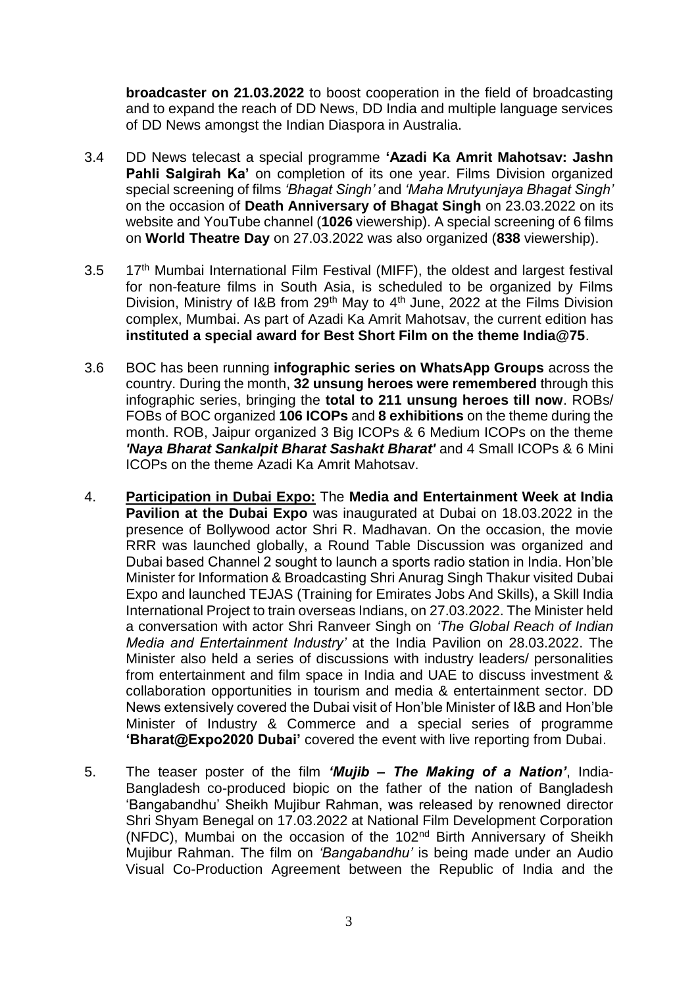**broadcaster on 21.03.2022** to boost cooperation in the field of broadcasting and to expand the reach of DD News, DD India and multiple language services of DD News amongst the Indian Diaspora in Australia.

- 3.4 DD News telecast a special programme **'Azadi Ka Amrit Mahotsav: Jashn Pahli Salgirah Ka'** on completion of its one year. Films Division organized special screening of films *'Bhagat Singh'* and *'Maha Mrutyunjaya Bhagat Singh'* on the occasion of **Death Anniversary of Bhagat Singh** on 23.03.2022 on its website and YouTube channel (**1026** viewership). A special screening of 6 films on **World Theatre Day** on 27.03.2022 was also organized (**838** viewership).
- 3.5 17<sup>th</sup> Mumbai International Film Festival (MIFF), the oldest and largest festival for non-feature films in South Asia, is scheduled to be organized by Films Division, Ministry of I&B from 29<sup>th</sup> May to 4<sup>th</sup> June, 2022 at the Films Division complex, Mumbai. As part of Azadi Ka Amrit Mahotsav, the current edition has **instituted a special award for Best Short Film on the theme India@75**.
- 3.6 BOC has been running **infographic series on WhatsApp Groups** across the country. During the month, **32 unsung heroes were remembered** through this infographic series, bringing the **total to 211 unsung heroes till now**. ROBs/ FOBs of BOC organized **106 ICOPs** and **8 exhibitions** on the theme during the month. ROB, Jaipur organized 3 Big ICOPs & 6 Medium ICOPs on the theme *'Naya Bharat Sankalpit Bharat Sashakt Bharat'* and 4 Small ICOPs & 6 Mini ICOPs on the theme Azadi Ka Amrit Mahotsav.
- 4. **Participation in Dubai Expo:** The **Media and Entertainment Week at India Pavilion at the Dubai Expo** was inaugurated at Dubai on 18.03.2022 in the presence of Bollywood actor Shri R. Madhavan. On the occasion, the movie RRR was launched globally, a Round Table Discussion was organized and Dubai based Channel 2 sought to launch a sports radio station in India. Hon'ble Minister for Information & Broadcasting Shri Anurag Singh Thakur visited Dubai Expo and launched TEJAS (Training for Emirates Jobs And Skills), a Skill India International Project to train overseas Indians, on 27.03.2022. The Minister held a conversation with actor Shri Ranveer Singh on *'The Global Reach of Indian Media and Entertainment Industry'* at the India Pavilion on 28.03.2022. The Minister also held a series of discussions with industry leaders/ personalities from entertainment and film space in India and UAE to discuss investment & collaboration opportunities in tourism and media & entertainment sector. DD News extensively covered the Dubai visit of Hon'ble Minister of I&B and Hon'ble Minister of Industry & Commerce and a special series of programme **'Bharat@Expo2020 Dubai'** covered the event with live reporting from Dubai.
- 5. The teaser poster of the film *'Mujib – The Making of a Nation'*, India-Bangladesh co-produced biopic on the father of the nation of Bangladesh 'Bangabandhu' Sheikh Mujibur Rahman, was released by renowned director Shri Shyam Benegal on 17.03.2022 at National Film Development Corporation (NFDC), Mumbai on the occasion of the 102nd Birth Anniversary of Sheikh Mujibur Rahman. The film on *'Bangabandhu'* is being made under an Audio Visual Co-Production Agreement between the Republic of India and the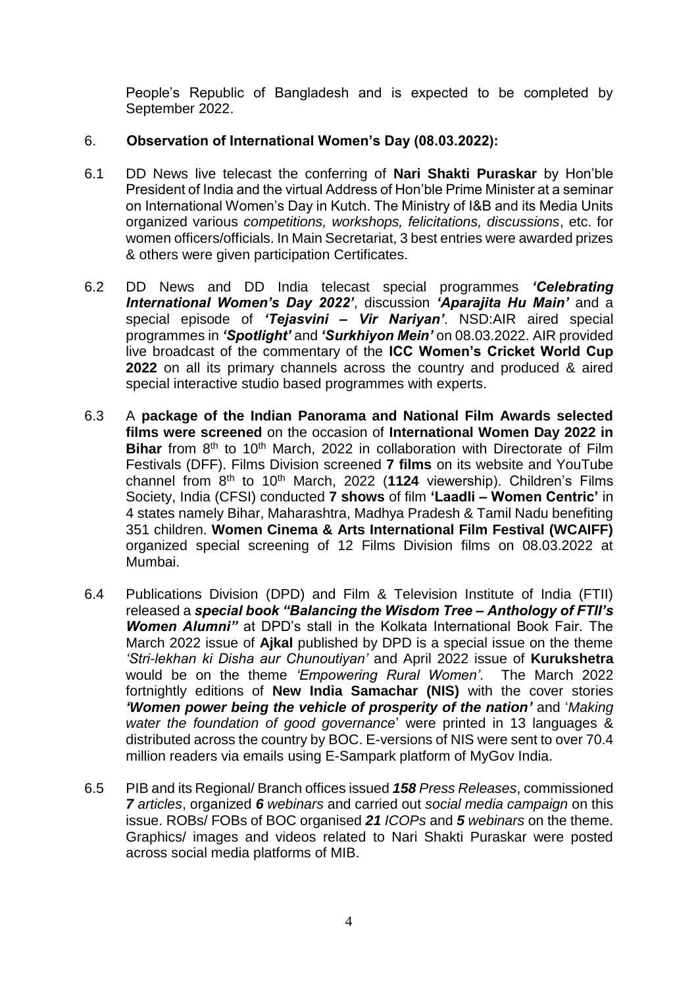People's Republic of Bangladesh and is expected to be completed by September 2022.

# 6. **Observation of International Women's Day (08.03.2022):**

- 6.1 DD News live telecast the conferring of **Nari Shakti Puraskar** by Hon'ble President of India and the virtual Address of Hon'ble Prime Minister at a seminar on International Women's Day in Kutch. The Ministry of I&B and its Media Units organized various *competitions, workshops, felicitations, discussions*, etc. for women officers/officials. In Main Secretariat, 3 best entries were awarded prizes & others were given participation Certificates.
- 6.2 DD News and DD India telecast special programmes *'Celebrating International Women's Day 2022'*, discussion *'Aparajita Hu Main'* and a special episode of *'Tejasvini – Vir Nariyan'*. NSD:AIR aired special programmes in *'Spotlight'* and *'Surkhiyon Mein'* on 08.03.2022. AIR provided live broadcast of the commentary of the **ICC Women's Cricket World Cup 2022** on all its primary channels across the country and produced & aired special interactive studio based programmes with experts.
- 6.3 A **package of the Indian Panorama and National Film Awards selected films were screened** on the occasion of **International Women Day 2022 in Bihar** from 8<sup>th</sup> to 10<sup>th</sup> March, 2022 in collaboration with Directorate of Film Festivals (DFF). Films Division screened **7 films** on its website and YouTube channel from 8th to 10th March, 2022 (**1124** viewership). Children's Films Society, India (CFSI) conducted **7 shows** of film **'Laadli – Women Centric'** in 4 states namely Bihar, Maharashtra, Madhya Pradesh & Tamil Nadu benefiting 351 children. **Women Cinema & Arts International Film Festival (WCAIFF)** organized special screening of 12 Films Division films on 08.03.2022 at Mumbai.
- 6.4 Publications Division (DPD) and Film & Television Institute of India (FTII) released a *special book "Balancing the Wisdom Tree – Anthology of FTII's Women Alumni"* at DPD's stall in the Kolkata International Book Fair. The March 2022 issue of **Ajkal** published by DPD is a special issue on the theme *'Stri-lekhan ki Disha aur Chunoutiyan'* and April 2022 issue of **Kurukshetra** would be on the theme *'Empowering Rural Women'*. The March 2022 fortnightly editions of **New India Samachar (NIS)** with the cover stories *'Women power being the vehicle of prosperity of the nation'* and '*Making water the foundation of good governance*' were printed in 13 languages & distributed across the country by BOC. E-versions of NIS were sent to over 70.4 million readers via emails using E-Sampark platform of MyGov India.
- 6.5 PIB and its Regional/ Branch offices issued *158 Press Releases*, commissioned *7 articles*, organized *6 webinars* and carried out *social media campaign* on this issue. ROBs/ FOBs of BOC organised *21 ICOPs* and *5 webinars* on the theme. Graphics/ images and videos related to Nari Shakti Puraskar were posted across social media platforms of MIB.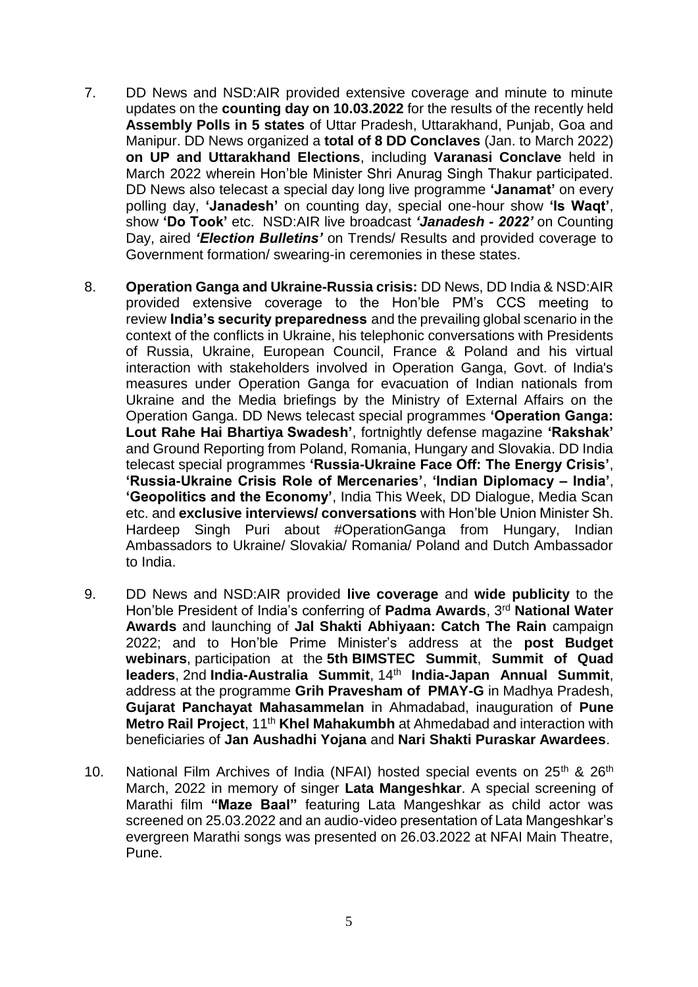- 7. DD News and NSD:AIR provided extensive coverage and minute to minute updates on the **counting day on 10.03.2022** for the results of the recently held **Assembly Polls in 5 states** of Uttar Pradesh, Uttarakhand, Punjab, Goa and Manipur. DD News organized a **total of 8 DD Conclaves** (Jan. to March 2022) **on UP and Uttarakhand Elections**, including **Varanasi Conclave** held in March 2022 wherein Hon'ble Minister Shri Anurag Singh Thakur participated. DD News also telecast a special day long live programme **'Janamat'** on every polling day, **'Janadesh'** on counting day, special one-hour show **'Is Waqt'**, show **'Do Took'** etc. NSD:AIR live broadcast *'Janadesh - 2022'* on Counting Day, aired *'Election Bulletins'* on Trends/ Results and provided coverage to Government formation/ swearing-in ceremonies in these states.
- 8. **Operation Ganga and Ukraine-Russia crisis:** DD News, DD India & NSD:AIR provided extensive coverage to the Hon'ble PM's CCS meeting to review **India's security preparedness** and the prevailing global scenario in the context of the conflicts in Ukraine, his telephonic conversations with Presidents of Russia, Ukraine, European Council, France & Poland and his virtual interaction with stakeholders involved in Operation Ganga, Govt. of India's measures under Operation Ganga for evacuation of Indian nationals from Ukraine and the Media briefings by the Ministry of External Affairs on the Operation Ganga. DD News telecast special programmes **'Operation Ganga: Lout Rahe Hai Bhartiya Swadesh'**, fortnightly defense magazine **'Rakshak'** and Ground Reporting from Poland, Romania, Hungary and Slovakia. DD India telecast special programmes **'Russia-Ukraine Face Off: The Energy Crisis'**, **'Russia-Ukraine Crisis Role of Mercenaries'**, **'Indian Diplomacy – India'**, **'Geopolitics and the Economy'**, India This Week, DD Dialogue, Media Scan etc. and **exclusive interviews/ conversations** with Hon'ble Union Minister Sh. Hardeep Singh Puri about #OperationGanga from Hungary, Indian Ambassadors to Ukraine/ Slovakia/ Romania/ Poland and Dutch Ambassador to India.
- 9. DD News and NSD:AIR provided **live coverage** and **wide publicity** to the Hon'ble President of India's conferring of **Padma Awards**, 3rd **National Water Awards** and launching of **Jal Shakti Abhiyaan: Catch The Rain** campaign 2022; and to Hon'ble Prime Minister's address at the **post Budget webinars**, participation at the **5th BIMSTEC Summit**, **Summit of Quad leaders**, 2nd **India-Australia Summit**, 14th **India-Japan Annual Summit**, address at the programme **Grih Pravesham of PMAY-G** in Madhya Pradesh, **Gujarat Panchayat Mahasammelan** in Ahmadabad, inauguration of **Pune Metro Rail Project, 11<sup>th</sup> Khel Mahakumbh** at Ahmedabad and interaction with beneficiaries of **Jan Aushadhi Yojana** and **Nari Shakti Puraskar Awardees**.
- 10. National Film Archives of India (NFAI) hosted special events on 25<sup>th</sup> & 26<sup>th</sup> March, 2022 in memory of singer **Lata Mangeshkar**. A special screening of Marathi film **"Maze Baal"** featuring Lata Mangeshkar as child actor was screened on 25.03.2022 and an audio-video presentation of Lata Mangeshkar's evergreen Marathi songs was presented on 26.03.2022 at NFAI Main Theatre, Pune.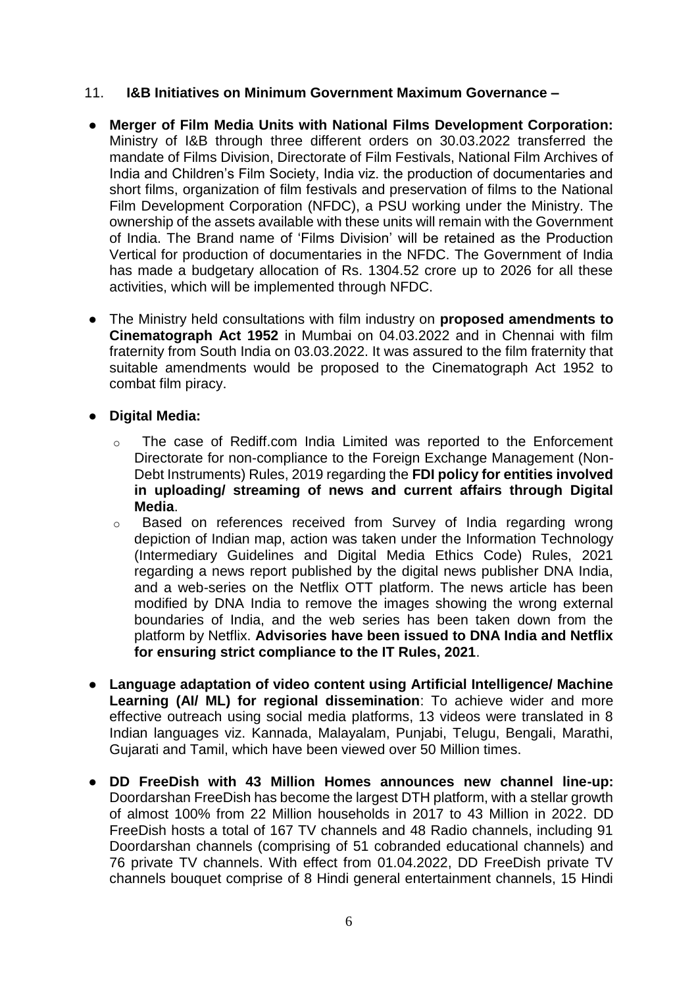#### 11. **I&B Initiatives on Minimum Government Maximum Governance –**

- **Merger of Film Media Units with National Films Development Corporation:** Ministry of I&B through three different orders on 30.03.2022 transferred the mandate of Films Division, Directorate of Film Festivals, National Film Archives of India and Children's Film Society, India viz. the production of documentaries and short films, organization of film festivals and preservation of films to the National Film Development Corporation (NFDC), a PSU working under the Ministry. The ownership of the assets available with these units will remain with the Government of India. The Brand name of 'Films Division' will be retained as the Production Vertical for production of documentaries in the NFDC. The Government of India has made a budgetary allocation of Rs. 1304.52 crore up to 2026 for all these activities, which will be implemented through NFDC.
- The Ministry held consultations with film industry on **proposed amendments to Cinematograph Act 1952** in Mumbai on 04.03.2022 and in Chennai with film fraternity from South India on 03.03.2022. It was assured to the film fraternity that suitable amendments would be proposed to the Cinematograph Act 1952 to combat film piracy.

# ● **Digital Media:**

- o The case of Rediff.com India Limited was reported to the Enforcement Directorate for non-compliance to the Foreign Exchange Management (Non-Debt Instruments) Rules, 2019 regarding the **FDI policy for entities involved in uploading/ streaming of news and current affairs through Digital Media**.
- o Based on references received from Survey of India regarding wrong depiction of Indian map, action was taken under the Information Technology (Intermediary Guidelines and Digital Media Ethics Code) Rules, 2021 regarding a news report published by the digital news publisher DNA India, and a web-series on the Netflix OTT platform. The news article has been modified by DNA India to remove the images showing the wrong external boundaries of India, and the web series has been taken down from the platform by Netflix. **Advisories have been issued to DNA India and Netflix for ensuring strict compliance to the IT Rules, 2021**.
- **Language adaptation of video content using Artificial Intelligence/ Machine Learning (AI/ ML) for regional dissemination**: To achieve wider and more effective outreach using social media platforms, 13 videos were translated in 8 Indian languages viz. Kannada, Malayalam, Punjabi, Telugu, Bengali, Marathi, Gujarati and Tamil, which have been viewed over 50 Million times.
- **DD FreeDish with 43 Million Homes announces new channel line-up:** Doordarshan FreeDish has become the largest DTH platform, with a stellar growth of almost 100% from 22 Million households in 2017 to 43 Million in 2022. DD FreeDish hosts a total of 167 TV channels and 48 Radio channels, including 91 Doordarshan channels (comprising of 51 cobranded educational channels) and 76 private TV channels. With effect from 01.04.2022, DD FreeDish private TV channels bouquet comprise of 8 Hindi general entertainment channels, 15 Hindi